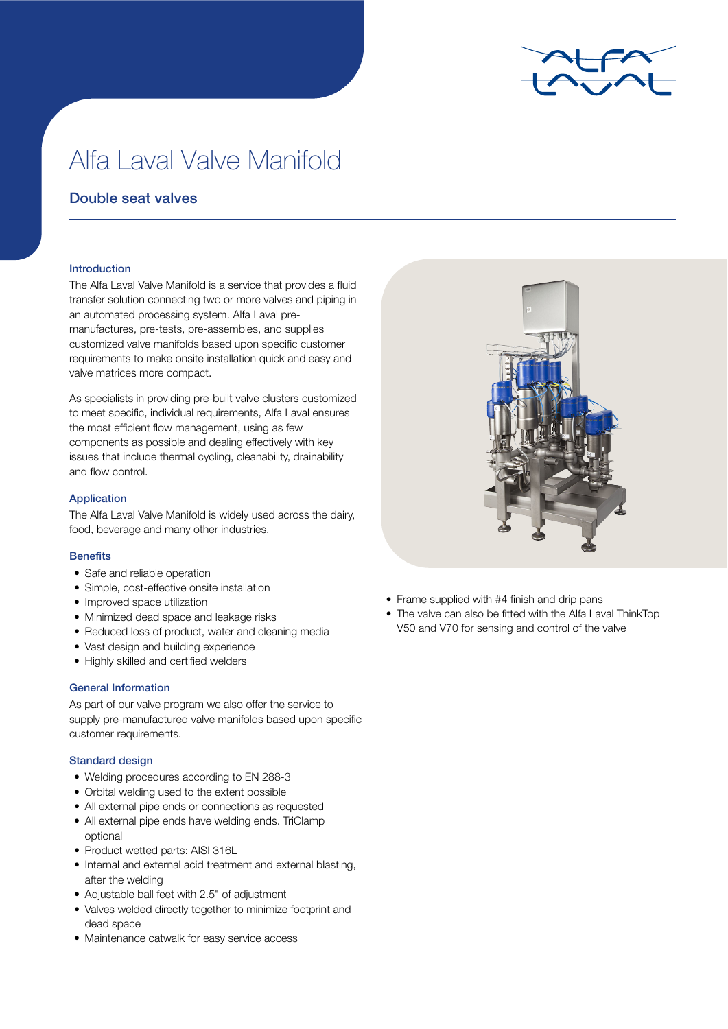

# Alfa Laval Valve Manifold

# Double seat valves

### Introduction

The Alfa Laval Valve Manifold is a service that provides a fluid transfer solution connecting two or more valves and piping in an automated processing system. Alfa Laval premanufactures, pre-tests, pre-assembles, and supplies customized valve manifolds based upon specific customer requirements to make onsite installation quick and easy and valve matrices more compact.

As specialists in providing pre-built valve clusters customized to meet specific, individual requirements, Alfa Laval ensures the most efficient flow management, using as few components as possible and dealing effectively with key issues that include thermal cycling, cleanability, drainability and flow control.

### Application

The Alfa Laval Valve Manifold is widely used across the dairy, food, beverage and many other industries.

## **Benefits**

- Safe and reliable operation
- Simple, cost-effective onsite installation
- Improved space utilization
- Minimized dead space and leakage risks
- Reduced loss of product, water and cleaning media
- Vast design and building experience
- Highly skilled and certified welders

### General Information

As part of our valve program we also offer the service to supply pre-manufactured valve manifolds based upon specific customer requirements.

### Standard design

- Welding procedures according to EN 288-3
- Orbital welding used to the extent possible
- All external pipe ends or connections as requested
- All external pipe ends have welding ends. TriClamp optional
- Product wetted parts: AISI 316L
- Internal and external acid treatment and external blasting, after the welding
- Adjustable ball feet with 2.5" of adjustment
- Valves welded directly together to minimize footprint and dead space
- Maintenance catwalk for easy service access



- Frame supplied with #4 finish and drip pans
- The valve can also be fitted with the Alfa Laval ThinkTop V50 and V70 for sensing and control of the valve